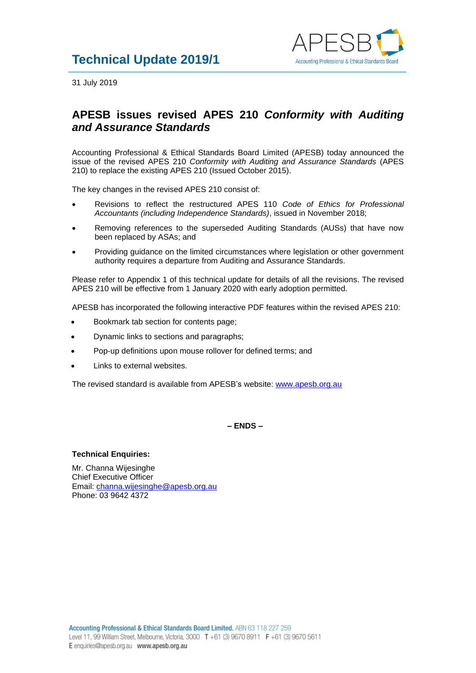

31 July 2019

## **APESB issues revised APES 210** *Conformity with Auditing and Assurance Standards*

Accounting Professional & Ethical Standards Board Limited (APESB) today announced the issue of the revised APES 210 *Conformity with Auditing and Assurance Standards* (APES 210) to replace the existing APES 210 (Issued October 2015).

The key changes in the revised APES 210 consist of:

- Revisions to reflect the restructured APES 110 *Code of Ethics for Professional Accountants (including Independence Standards)*, issued in November 2018;
- Removing references to the superseded Auditing Standards (AUSs) that have now been replaced by ASAs; and
- Providing guidance on the limited circumstances where legislation or other government authority requires a departure from Auditing and Assurance Standards.

Please refer to Appendix 1 of this technical update for details of all the revisions. The revised APES 210 will be effective from 1 January 2020 with early adoption permitted.

APESB has incorporated the following interactive PDF features within the revised APES 210:

- Bookmark tab section for contents page;
- Dynamic links to sections and paragraphs;
- Pop-up definitions upon mouse rollover for defined terms; and
- Links to external websites.

The revised standard is available from APESB's website: [www.apesb.org.au](http://www.apesb.org.au/)

**– ENDS –**

## **Technical Enquiries:**

Mr. Channa Wijesinghe Chief Executive Officer Email: [channa.wijesinghe@apesb.org.au](mailto:channa.wijesinghe@apesb.org.au) Phone: 03 9642 4372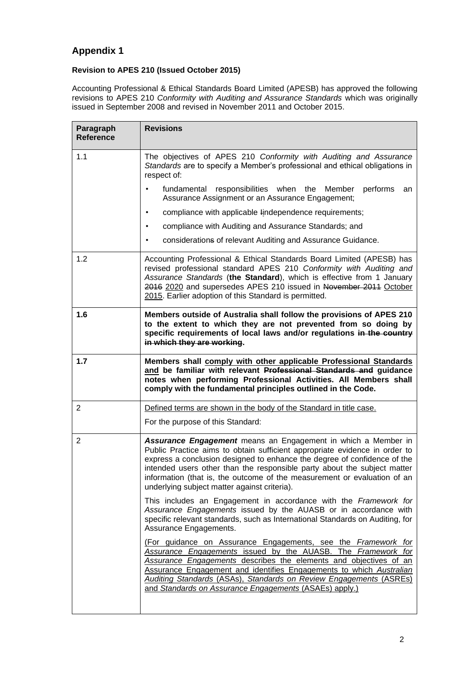## **Appendix 1**

## **Revision to APES 210 (Issued October 2015)**

Accounting Professional & Ethical Standards Board Limited (APESB) has approved the following revisions to APES 210 *Conformity with Auditing and Assurance Standards* which was originally issued in September 2008 and revised in November 2011 and October 2015.

| Paragraph<br><b>Reference</b> | <b>Revisions</b>                                                                                                                                                                                                                                                                                                                                                                                                                       |
|-------------------------------|----------------------------------------------------------------------------------------------------------------------------------------------------------------------------------------------------------------------------------------------------------------------------------------------------------------------------------------------------------------------------------------------------------------------------------------|
| 1.1                           | The objectives of APES 210 Conformity with Auditing and Assurance<br>Standards are to specify a Member's professional and ethical obligations in<br>respect of:                                                                                                                                                                                                                                                                        |
|                               | fundamental responsibilities when the<br>Member<br>performs<br>an<br>Assurance Assignment or an Assurance Engagement;                                                                                                                                                                                                                                                                                                                  |
|                               | compliance with applicable lindependence requirements;<br>٠                                                                                                                                                                                                                                                                                                                                                                            |
|                               | compliance with Auditing and Assurance Standards; and<br>$\bullet$                                                                                                                                                                                                                                                                                                                                                                     |
|                               | considerations of relevant Auditing and Assurance Guidance.<br>$\bullet$                                                                                                                                                                                                                                                                                                                                                               |
| 1.2                           | Accounting Professional & Ethical Standards Board Limited (APESB) has<br>revised professional standard APES 210 Conformity with Auditing and<br>Assurance Standards (the Standard), which is effective from 1 January<br>2016 2020 and supersedes APES 210 issued in November 2011 October<br>2015. Earlier adoption of this Standard is permitted.                                                                                    |
| 1.6                           | Members outside of Australia shall follow the provisions of APES 210<br>to the extent to which they are not prevented from so doing by<br>specific requirements of local laws and/or regulations in the country<br>in which they are working.                                                                                                                                                                                          |
| 1.7                           | Members shall comply with other applicable Professional Standards<br>and be familiar with relevant Professional Standards and guidance<br>notes when performing Professional Activities. All Members shall<br>comply with the fundamental principles outlined in the Code.                                                                                                                                                             |
| $\overline{2}$                | Defined terms are shown in the body of the Standard in title case.                                                                                                                                                                                                                                                                                                                                                                     |
|                               | For the purpose of this Standard:                                                                                                                                                                                                                                                                                                                                                                                                      |
| $\overline{2}$                | <b>Assurance Engagement</b> means an Engagement in which a Member in<br>Public Practice aims to obtain sufficient appropriate evidence in order to<br>express a conclusion designed to enhance the degree of confidence of the<br>intended users other than the responsible party about the subject matter<br>information (that is, the outcome of the measurement or evaluation of an<br>underlying subject matter against criteria). |
|                               | This includes an Engagement in accordance with the Framework for<br>Assurance Engagements issued by the AUASB or in accordance with<br>specific relevant standards, such as International Standards on Auditing, for<br>Assurance Engagements.                                                                                                                                                                                         |
|                               | (For guidance on Assurance Engagements, see the Framework for<br>Assurance Engagements issued by the AUASB. The Framework for<br>Assurance Engagements describes the elements and objectives of an<br>Assurance Engagement and identifies Engagements to which Australian<br>Auditing Standards (ASAs), Standards on Review Engagements (ASREs)<br>and Standards on Assurance Engagements (ASAEs) apply.)                              |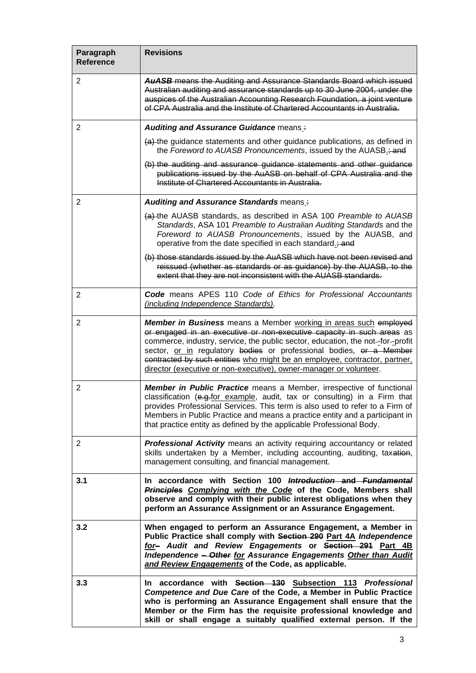| Paragraph<br><b>Reference</b> | <b>Revisions</b>                                                                                                                                                                                                                                                                                                                                                                                                                                       |
|-------------------------------|--------------------------------------------------------------------------------------------------------------------------------------------------------------------------------------------------------------------------------------------------------------------------------------------------------------------------------------------------------------------------------------------------------------------------------------------------------|
| $\overline{2}$                | <b>AuASB</b> means the Auditing and Assurance Standards Board which issued<br>Australian auditing and assurance standards up to 30 June 2004, under the<br>auspices of the Australian Accounting Research Foundation, a joint venture<br>of CPA Australia and the Institute of Chartered Accountants in Australia.                                                                                                                                     |
| 2                             | <b>Auditing and Assurance Guidance means:</b>                                                                                                                                                                                                                                                                                                                                                                                                          |
|                               | (a) the guidance statements and other guidance publications, as defined in<br>the Foreword to AUASB Pronouncements, issued by the AUASB <sub>-3</sub> and                                                                                                                                                                                                                                                                                              |
|                               | (b) the auditing and assurance guidance statements and other guidance<br>publications issued by the AuASB on behalf of CPA Australia and the<br>Institute of Chartered Accountants in Australia.                                                                                                                                                                                                                                                       |
| 2                             | Auditing and Assurance Standards means:                                                                                                                                                                                                                                                                                                                                                                                                                |
|                               | (a) the AUASB standards, as described in ASA 100 Preamble to AUASB<br>Standards, ASA 101 Preamble to Australian Auditing Standards and the<br>Foreword to AUASB Pronouncements, issued by the AUASB, and<br>operative from the date specified in each standard.; and                                                                                                                                                                                   |
|                               | (b) those standards issued by the AuASB which have not been revised and<br>reissued (whether as standards or as guidance) by the AUASB, to the<br>extent that they are not inconsistent with the AUASB standards.                                                                                                                                                                                                                                      |
| $\overline{2}$                | Code means APES 110 Code of Ethics for Professional Accountants<br>(including Independence Standards).                                                                                                                                                                                                                                                                                                                                                 |
| 2                             | Member in Business means a Member working in areas such employed<br>or engaged in an executive or non-executive capacity in such areas as<br>commerce, industry, service, the public sector, education, the not-for--profit<br>sector, or in regulatory bodies or professional bodies, or a Member<br>contracted by such entities who might be an employee, contractor, partner,<br>director (executive or non-executive), owner-manager or volunteer. |
| 2                             | Member in Public Practice means a Member, irrespective of functional<br>classification (e.g.for example, audit, tax or consulting) in a Firm that<br>provides Professional Services. This term is also used to refer to a Firm of<br>Members in Public Practice and means a practice entity and a participant in<br>that practice entity as defined by the applicable Professional Body.                                                               |
| $\overline{2}$                | Professional Activity means an activity requiring accountancy or related<br>skills undertaken by a Member, including accounting, auditing, taxation,<br>management consulting, and financial management.                                                                                                                                                                                                                                               |
| 3.1                           | In accordance with Section 100 Introduction and Fundamental<br>Principles Complying with the Code of the Code, Members shall<br>observe and comply with their public interest obligations when they<br>perform an Assurance Assignment or an Assurance Engagement.                                                                                                                                                                                     |
| 3.2                           | When engaged to perform an Assurance Engagement, a Member in<br>Public Practice shall comply with Section 290 Part 4A Independence<br>for- Audit and Review Engagements or Section 291 Part 4B<br>Independence - Other for Assurance Engagements Other than Audit<br>and Review Engagements of the Code, as applicable.                                                                                                                                |
| 3.3                           | In accordance with Section 130 Subsection 113 Professional<br>Competence and Due Care of the Code, a Member in Public Practice<br>who is performing an Assurance Engagement shall ensure that the<br>Member or the Firm has the requisite professional knowledge and<br>skill or shall engage a suitably qualified external person. If the                                                                                                             |